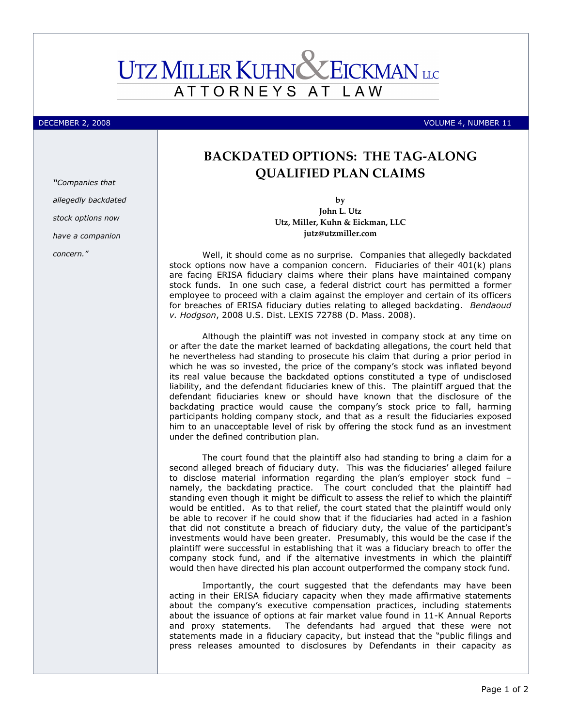## **UTZ MILLER KUHNC** EICKMAN LLC ATTORNEYS AT L A W

## DECEMBER 2, 2008 VOLUME 4, NUMBER 11

## BACKDATED OPTIONS: THE TAG-ALONG QUALIFIED PLAN CLAIMS

by John L. Utz Utz, Miller, Kuhn & Eickman, LLC jutz@utzmiller.com

Well, it should come as no surprise. Companies that allegedly backdated stock options now have a companion concern. Fiduciaries of their 401(k) plans are facing ERISA fiduciary claims where their plans have maintained company stock funds. In one such case, a federal district court has permitted a former employee to proceed with a claim against the employer and certain of its officers for breaches of ERISA fiduciary duties relating to alleged backdating. Bendaoud v. Hodgson, 2008 U.S. Dist. LEXIS 72788 (D. Mass. 2008).

Although the plaintiff was not invested in company stock at any time on or after the date the market learned of backdating allegations, the court held that he nevertheless had standing to prosecute his claim that during a prior period in which he was so invested, the price of the company's stock was inflated beyond its real value because the backdated options constituted a type of undisclosed liability, and the defendant fiduciaries knew of this. The plaintiff argued that the defendant fiduciaries knew or should have known that the disclosure of the backdating practice would cause the company's stock price to fall, harming participants holding company stock, and that as a result the fiduciaries exposed him to an unacceptable level of risk by offering the stock fund as an investment under the defined contribution plan.

The court found that the plaintiff also had standing to bring a claim for a second alleged breach of fiduciary duty. This was the fiduciaries' alleged failure to disclose material information regarding the plan's employer stock fund – namely, the backdating practice. The court concluded that the plaintiff had standing even though it might be difficult to assess the relief to which the plaintiff would be entitled. As to that relief, the court stated that the plaintiff would only be able to recover if he could show that if the fiduciaries had acted in a fashion that did not constitute a breach of fiduciary duty, the value of the participant's investments would have been greater. Presumably, this would be the case if the plaintiff were successful in establishing that it was a fiduciary breach to offer the company stock fund, and if the alternative investments in which the plaintiff would then have directed his plan account outperformed the company stock fund.

Importantly, the court suggested that the defendants may have been acting in their ERISA fiduciary capacity when they made affirmative statements about the company's executive compensation practices, including statements about the issuance of options at fair market value found in 11-K Annual Reports and proxy statements. The defendants had argued that these were not statements made in a fiduciary capacity, but instead that the "public filings and press releases amounted to disclosures by Defendants in their capacity as

"Companies that allegedly backdated stock options now have a companion concern."